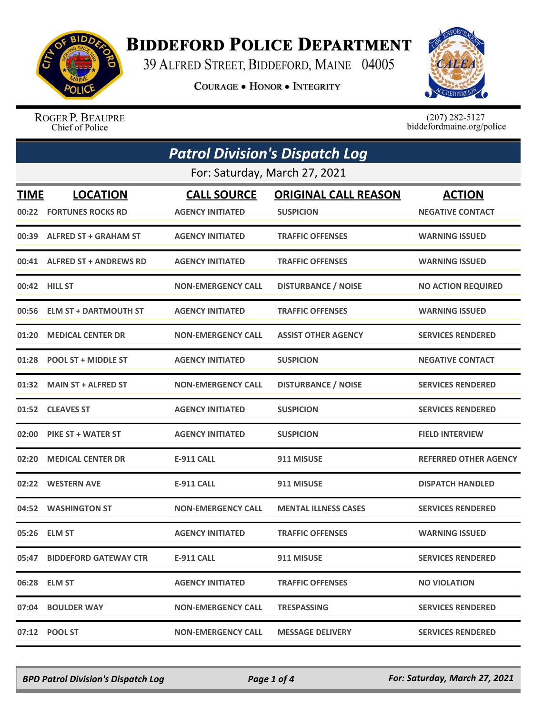

## **BIDDEFORD POLICE DEPARTMENT**

39 ALFRED STREET, BIDDEFORD, MAINE 04005

**COURAGE . HONOR . INTEGRITY** 



ROGER P. BEAUPRE Chief of Police

 $(207)$  282-5127<br>biddefordmaine.org/police

| <b>Patrol Division's Dispatch Log</b> |                               |                           |                             |                              |  |  |
|---------------------------------------|-------------------------------|---------------------------|-----------------------------|------------------------------|--|--|
|                                       | For: Saturday, March 27, 2021 |                           |                             |                              |  |  |
| <b>TIME</b>                           | <b>LOCATION</b>               | <b>CALL SOURCE</b>        | <b>ORIGINAL CALL REASON</b> | <b>ACTION</b>                |  |  |
| 00:22                                 | <b>FORTUNES ROCKS RD</b>      | <b>AGENCY INITIATED</b>   | <b>SUSPICION</b>            | <b>NEGATIVE CONTACT</b>      |  |  |
|                                       | 00:39 ALFRED ST + GRAHAM ST   | <b>AGENCY INITIATED</b>   | <b>TRAFFIC OFFENSES</b>     | <b>WARNING ISSUED</b>        |  |  |
| 00:41                                 | <b>ALFRED ST + ANDREWS RD</b> | <b>AGENCY INITIATED</b>   | <b>TRAFFIC OFFENSES</b>     | <b>WARNING ISSUED</b>        |  |  |
| 00:42                                 | <b>HILL ST</b>                | <b>NON-EMERGENCY CALL</b> | <b>DISTURBANCE / NOISE</b>  | <b>NO ACTION REQUIRED</b>    |  |  |
| 00:56                                 | <b>ELM ST + DARTMOUTH ST</b>  | <b>AGENCY INITIATED</b>   | <b>TRAFFIC OFFENSES</b>     | <b>WARNING ISSUED</b>        |  |  |
| 01:20                                 | <b>MEDICAL CENTER DR</b>      | <b>NON-EMERGENCY CALL</b> | <b>ASSIST OTHER AGENCY</b>  | <b>SERVICES RENDERED</b>     |  |  |
| 01:28                                 | <b>POOL ST + MIDDLE ST</b>    | <b>AGENCY INITIATED</b>   | <b>SUSPICION</b>            | <b>NEGATIVE CONTACT</b>      |  |  |
| 01:32                                 | <b>MAIN ST + ALFRED ST</b>    | <b>NON-EMERGENCY CALL</b> | <b>DISTURBANCE / NOISE</b>  | <b>SERVICES RENDERED</b>     |  |  |
| 01:52                                 | <b>CLEAVES ST</b>             | <b>AGENCY INITIATED</b>   | <b>SUSPICION</b>            | <b>SERVICES RENDERED</b>     |  |  |
| 02:00                                 | <b>PIKE ST + WATER ST</b>     | <b>AGENCY INITIATED</b>   | <b>SUSPICION</b>            | <b>FIELD INTERVIEW</b>       |  |  |
| 02:20                                 | <b>MEDICAL CENTER DR</b>      | <b>E-911 CALL</b>         | 911 MISUSE                  | <b>REFERRED OTHER AGENCY</b> |  |  |
| 02:22                                 | <b>WESTERN AVE</b>            | <b>E-911 CALL</b>         | 911 MISUSE                  | <b>DISPATCH HANDLED</b>      |  |  |
| 04:52                                 | <b>WASHINGTON ST</b>          | <b>NON-EMERGENCY CALL</b> | <b>MENTAL ILLNESS CASES</b> | <b>SERVICES RENDERED</b>     |  |  |
| 05:26                                 | <b>ELM ST</b>                 | <b>AGENCY INITIATED</b>   | <b>TRAFFIC OFFENSES</b>     | <b>WARNING ISSUED</b>        |  |  |
|                                       | 05:47 BIDDEFORD GATEWAY CTR   | <b>E-911 CALL</b>         | 911 MISUSE                  | <b>SERVICES RENDERED</b>     |  |  |
|                                       | 06:28 ELM ST                  | <b>AGENCY INITIATED</b>   | <b>TRAFFIC OFFENSES</b>     | <b>NO VIOLATION</b>          |  |  |
|                                       | 07:04 BOULDER WAY             | <b>NON-EMERGENCY CALL</b> | <b>TRESPASSING</b>          | <b>SERVICES RENDERED</b>     |  |  |
|                                       | 07:12 POOL ST                 | <b>NON-EMERGENCY CALL</b> | <b>MESSAGE DELIVERY</b>     | <b>SERVICES RENDERED</b>     |  |  |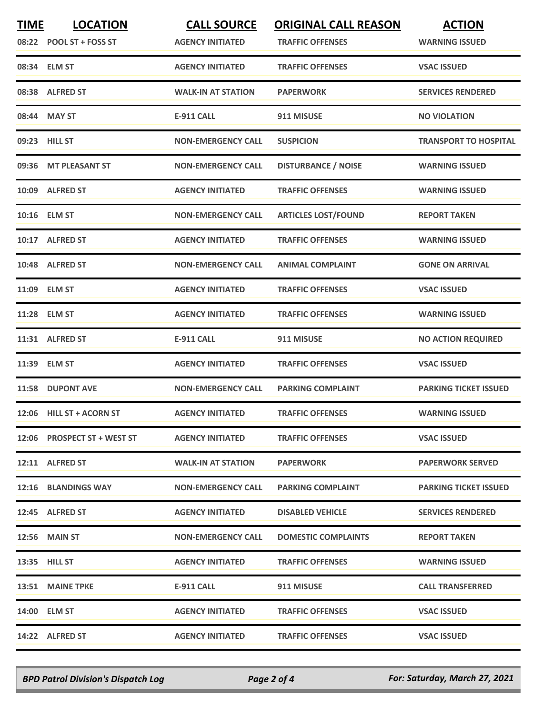| <b>TIME</b> | <b>LOCATION</b><br>08:22 POOL ST + FOSS ST | <b>CALL SOURCE</b><br><b>AGENCY INITIATED</b> | <b>ORIGINAL CALL REASON</b><br><b>TRAFFIC OFFENSES</b> | <b>ACTION</b><br><b>WARNING ISSUED</b> |
|-------------|--------------------------------------------|-----------------------------------------------|--------------------------------------------------------|----------------------------------------|
|             | 08:34 ELM ST                               | <b>AGENCY INITIATED</b>                       | <b>TRAFFIC OFFENSES</b>                                | <b>VSAC ISSUED</b>                     |
|             | 08:38 ALFRED ST                            | <b>WALK-IN AT STATION</b>                     | <b>PAPERWORK</b>                                       | <b>SERVICES RENDERED</b>               |
|             | 08:44 MAY ST                               | <b>E-911 CALL</b>                             | 911 MISUSE                                             | <b>NO VIOLATION</b>                    |
|             | 09:23 HILL ST                              | <b>NON-EMERGENCY CALL</b>                     | <b>SUSPICION</b>                                       | <b>TRANSPORT TO HOSPITAL</b>           |
|             | 09:36 MT PLEASANT ST                       | <b>NON-EMERGENCY CALL</b>                     | <b>DISTURBANCE / NOISE</b>                             | <b>WARNING ISSUED</b>                  |
|             | 10:09 ALFRED ST                            | <b>AGENCY INITIATED</b>                       | <b>TRAFFIC OFFENSES</b>                                | <b>WARNING ISSUED</b>                  |
|             | 10:16 ELM ST                               | <b>NON-EMERGENCY CALL</b>                     | <b>ARTICLES LOST/FOUND</b>                             | <b>REPORT TAKEN</b>                    |
|             | 10:17 ALFRED ST                            | <b>AGENCY INITIATED</b>                       | <b>TRAFFIC OFFENSES</b>                                | <b>WARNING ISSUED</b>                  |
|             | 10:48 ALFRED ST                            | <b>NON-EMERGENCY CALL</b>                     | <b>ANIMAL COMPLAINT</b>                                | <b>GONE ON ARRIVAL</b>                 |
|             | 11:09 ELM ST                               | <b>AGENCY INITIATED</b>                       | <b>TRAFFIC OFFENSES</b>                                | <b>VSAC ISSUED</b>                     |
|             | 11:28 ELM ST                               | <b>AGENCY INITIATED</b>                       | <b>TRAFFIC OFFENSES</b>                                | <b>WARNING ISSUED</b>                  |
|             | 11:31 ALFRED ST                            | <b>E-911 CALL</b>                             | 911 MISUSE                                             | <b>NO ACTION REQUIRED</b>              |
|             | 11:39 ELM ST                               | <b>AGENCY INITIATED</b>                       | <b>TRAFFIC OFFENSES</b>                                | <b>VSAC ISSUED</b>                     |
|             | 11:58 DUPONT AVE                           | <b>NON-EMERGENCY CALL</b>                     | <b>PARKING COMPLAINT</b>                               | <b>PARKING TICKET ISSUED</b>           |
|             | 12:06 HILL ST + ACORN ST                   | <b>AGENCY INITIATED</b>                       | <b>TRAFFIC OFFENSES</b>                                | <b>WARNING ISSUED</b>                  |
|             | 12:06 PROSPECT ST + WEST ST                | <b>AGENCY INITIATED</b>                       | <b>TRAFFIC OFFENSES</b>                                | <b>VSAC ISSUED</b>                     |
|             | 12:11 ALFRED ST                            | <b>WALK-IN AT STATION</b>                     | <b>PAPERWORK</b>                                       | <b>PAPERWORK SERVED</b>                |
|             | 12:16 BLANDINGS WAY                        | <b>NON-EMERGENCY CALL</b>                     | <b>PARKING COMPLAINT</b>                               | <b>PARKING TICKET ISSUED</b>           |
|             | 12:45 ALFRED ST                            | <b>AGENCY INITIATED</b>                       | <b>DISABLED VEHICLE</b>                                | <b>SERVICES RENDERED</b>               |
|             | <b>12:56 MAIN ST</b>                       | <b>NON-EMERGENCY CALL</b>                     | <b>DOMESTIC COMPLAINTS</b>                             | <b>REPORT TAKEN</b>                    |
|             | 13:35 HILL ST                              | <b>AGENCY INITIATED</b>                       | <b>TRAFFIC OFFENSES</b>                                | <b>WARNING ISSUED</b>                  |
|             | 13:51 MAINE TPKE                           | E-911 CALL                                    | 911 MISUSE                                             | <b>CALL TRANSFERRED</b>                |
|             | 14:00 ELM ST                               | <b>AGENCY INITIATED</b>                       | <b>TRAFFIC OFFENSES</b>                                | <b>VSAC ISSUED</b>                     |
|             | 14:22 ALFRED ST                            | <b>AGENCY INITIATED</b>                       | <b>TRAFFIC OFFENSES</b>                                | <b>VSAC ISSUED</b>                     |

*BPD Patrol Division's Dispatch Log Page 2 of 4 For: Saturday, March 27, 2021*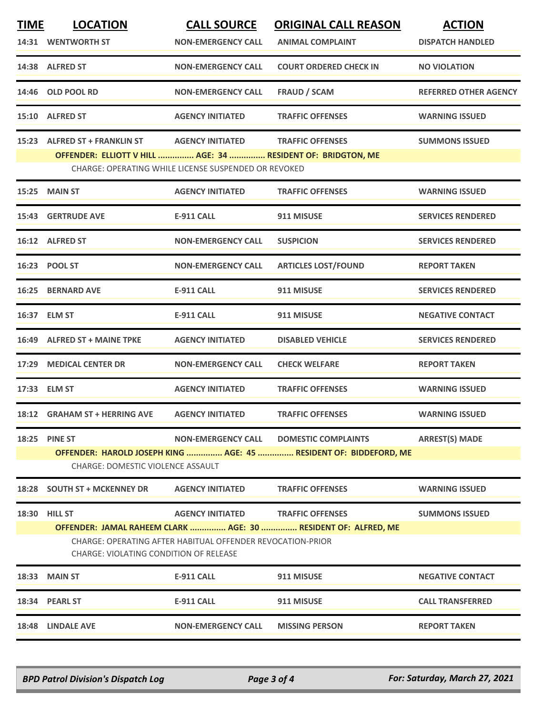| <b>TIME</b> | <b>LOCATION</b>                                                                                        | <b>CALL SOURCE</b>                                   | <b>ORIGINAL CALL REASON</b>                                    | <b>ACTION</b>                |  |  |
|-------------|--------------------------------------------------------------------------------------------------------|------------------------------------------------------|----------------------------------------------------------------|------------------------------|--|--|
|             | 14:31 WENTWORTH ST                                                                                     | <b>NON-EMERGENCY CALL</b>                            | <b>ANIMAL COMPLAINT</b>                                        | <b>DISPATCH HANDLED</b>      |  |  |
|             | 14:38 ALFRED ST                                                                                        | <b>NON-EMERGENCY CALL</b>                            | <b>COURT ORDERED CHECK IN</b>                                  | <b>NO VIOLATION</b>          |  |  |
|             | 14:46 OLD POOL RD                                                                                      | <b>NON-EMERGENCY CALL</b>                            | <b>FRAUD / SCAM</b>                                            | <b>REFERRED OTHER AGENCY</b> |  |  |
|             | 15:10 ALFRED ST                                                                                        | <b>AGENCY INITIATED</b>                              | <b>TRAFFIC OFFENSES</b>                                        | <b>WARNING ISSUED</b>        |  |  |
|             | 15:23 ALFRED ST + FRANKLIN ST                                                                          | <b>AGENCY INITIATED</b>                              | <b>TRAFFIC OFFENSES</b>                                        | <b>SUMMONS ISSUED</b>        |  |  |
|             | OFFENDER: ELLIOTT V HILL  AGE: 34  RESIDENT OF: BRIDGTON, ME                                           |                                                      |                                                                |                              |  |  |
|             |                                                                                                        | CHARGE: OPERATING WHILE LICENSE SUSPENDED OR REVOKED |                                                                |                              |  |  |
| 15:25       | <b>MAIN ST</b>                                                                                         | <b>AGENCY INITIATED</b>                              | <b>TRAFFIC OFFENSES</b>                                        | <b>WARNING ISSUED</b>        |  |  |
|             | <b>15:43 GERTRUDE AVE</b>                                                                              | <b>E-911 CALL</b>                                    | 911 MISUSE                                                     | <b>SERVICES RENDERED</b>     |  |  |
|             | 16:12 ALFRED ST                                                                                        | <b>NON-EMERGENCY CALL</b>                            | <b>SUSPICION</b>                                               | <b>SERVICES RENDERED</b>     |  |  |
|             | 16:23 POOL ST                                                                                          | <b>NON-EMERGENCY CALL</b>                            | <b>ARTICLES LOST/FOUND</b>                                     | <b>REPORT TAKEN</b>          |  |  |
|             | <b>16:25 BERNARD AVE</b>                                                                               | <b>E-911 CALL</b>                                    | 911 MISUSE                                                     | <b>SERVICES RENDERED</b>     |  |  |
|             | 16:37 ELM ST                                                                                           | <b>E-911 CALL</b>                                    | 911 MISUSE                                                     | <b>NEGATIVE CONTACT</b>      |  |  |
|             | 16:49 ALFRED ST + MAINE TPKE                                                                           | <b>AGENCY INITIATED</b>                              | <b>DISABLED VEHICLE</b>                                        | <b>SERVICES RENDERED</b>     |  |  |
|             | 17:29 MEDICAL CENTER DR                                                                                | <b>NON-EMERGENCY CALL</b>                            | <b>CHECK WELFARE</b>                                           | <b>REPORT TAKEN</b>          |  |  |
|             | 17:33 ELM ST                                                                                           | <b>AGENCY INITIATED</b>                              | <b>TRAFFIC OFFENSES</b>                                        | <b>WARNING ISSUED</b>        |  |  |
|             | 18:12 GRAHAM ST + HERRING AVE                                                                          | <b>AGENCY INITIATED</b>                              | <b>TRAFFIC OFFENSES</b>                                        | <b>WARNING ISSUED</b>        |  |  |
| 18:25       | <b>PINE ST</b>                                                                                         | <b>NON-EMERGENCY CALL</b>                            | <b>DOMESTIC COMPLAINTS</b>                                     | <b>ARREST(S) MADE</b>        |  |  |
|             | OFFENDER: HAROLD JOSEPH KING  AGE: 45  RESIDENT OF: BIDDEFORD, ME<br>CHARGE: DOMESTIC VIOLENCE ASSAULT |                                                      |                                                                |                              |  |  |
|             | 18:28 SOUTH ST + MCKENNEY DR                                                                           | <b>AGENCY INITIATED</b>                              | <b>TRAFFIC OFFENSES</b>                                        | <b>WARNING ISSUED</b>        |  |  |
|             | 18:30 HILL ST                                                                                          | <b>AGENCY INITIATED</b>                              | <b>TRAFFIC OFFENSES</b>                                        | <b>SUMMONS ISSUED</b>        |  |  |
|             |                                                                                                        |                                                      | OFFENDER: JAMAL RAHEEM CLARK  AGE: 30  RESIDENT OF: ALFRED, ME |                              |  |  |
|             | CHARGE: OPERATING AFTER HABITUAL OFFENDER REVOCATION-PRIOR<br>CHARGE: VIOLATING CONDITION OF RELEASE   |                                                      |                                                                |                              |  |  |
| 18:33       | <b>MAIN ST</b>                                                                                         | <b>E-911 CALL</b>                                    | 911 MISUSE                                                     | <b>NEGATIVE CONTACT</b>      |  |  |
|             | 18:34 PEARL ST                                                                                         | <b>E-911 CALL</b>                                    | 911 MISUSE                                                     | <b>CALL TRANSFERRED</b>      |  |  |
|             | 18:48 LINDALE AVE                                                                                      | <b>NON-EMERGENCY CALL</b>                            | <b>MISSING PERSON</b>                                          | <b>REPORT TAKEN</b>          |  |  |
|             |                                                                                                        |                                                      |                                                                |                              |  |  |

*BPD Patrol Division's Dispatch Log Page 3 of 4 For: Saturday, March 27, 2021*